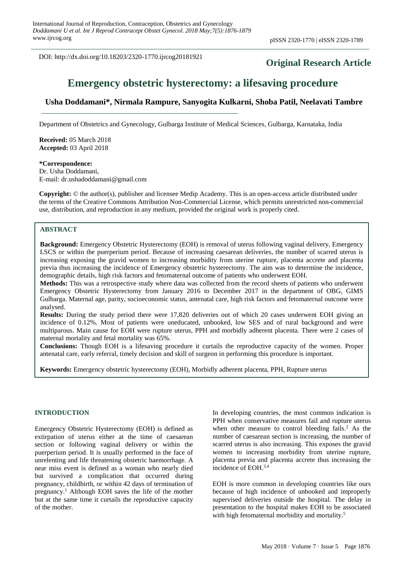DOI: http://dx.doi.org/10.18203/2320-1770.ijrcog20181921

# **Original Research Article**

# **Emergency obstetric hysterectomy: a lifesaving procedure**

### **Usha Doddamani\*, Nirmala Rampure, Sanyogita Kulkarni, Shoba Patil, Neelavati Tambre**

Department of Obstetrics and Gynecology, Gulbarga Institute of Medical Sciences, Gulbarga, Karnataka, India

**Received:** 05 March 2018 **Accepted:** 03 April 2018

**\*Correspondence:** Dr. Usha Doddamani,

E-mail: dr.ushadoddamani@gmail.com

**Copyright:** © the author(s), publisher and licensee Medip Academy. This is an open-access article distributed under the terms of the Creative Commons Attribution Non-Commercial License, which permits unrestricted non-commercial use, distribution, and reproduction in any medium, provided the original work is properly cited.

#### **ABSTRACT**

**Background:** Emergency Obstetric Hysterectomy (EOH) is removal of uterus following vaginal delivery, Emergency LSCS or within the puerperium period. Because of increasing caesarean deliveries, the number of scarred uterus is increasing exposing the gravid women to increasing morbidity from uterine rupture, placenta accrete and placenta previa thus increasing the incidence of Emergency obstetric hysterectomy. The aim was to determine the incidence, demographic details, high risk factors and fetomaternal outcome of patients who underwent EOH.

**Methods:** This was a retrospective study where data was collected from the record sheets of patients who underwent Emergency Obstetric Hysterectomy from January 2016 to December 2017 in the department of OBG, GIMS Gulbarga. Maternal age, parity, socioeconomic status, antenatal care, high risk factors and fetomaternal outcome were analysed.

**Results:** During the study period there were 17,820 deliveries out of which 20 cases underwent EOH giving an incidence of 0.12%. Most of patients were uneducated, unbooked, low SES and of rural background and were multiparous. Main cause for EOH were rupture uterus, PPH and morbidly adherent placenta. There were 2 cases of maternal mortality and fetal mortality was 65%.

**Conclusions:** Though EOH is a lifesaving procedure it curtails the reproductive capacity of the women. Proper antenatal care, early referral, timely decision and skill of surgeon in performing this procedure is important.

**Keywords:** Emergency obstetric hysterectomy (EOH), Morbidly adherent placenta, PPH, Rupture uterus

#### **INTRODUCTION**

Emergency Obstetric Hysterectomy (EOH) is defined as extirpation of uterus either at the time of caesarean section or following vaginal delivery or within the puerperium period. It is usually performed in the face of unrelenting and life threatening obstetric haemorrhage. A near miss event is defined as a woman who nearly died but survived a complication that occurred during pregnancy, childbirth, or within 42 days of termination of pregnancy. <sup>1</sup> Although EOH saves the life of the mother but at the same time it curtails the reproductive capacity of the mother.

In developing countries, the most common indication is PPH when conservative measures fail and rupture uterus when other measure to control bleeding fails. <sup>2</sup> As the number of caesarean section is increasing, the number of scarred uterus is also increasing. This exposes the gravid women to increasing morbidity from uterine rupture, placenta previa and placenta accrete thus increasing the incidence of EOH. 3,4

EOH is more common in developing countries like ours because of high incidence of unbooked and improperly supervised deliveries outside the hospital. The delay in presentation to the hospital makes EOH to be associated with high fetomaternal morbidity and mortality.<sup>5</sup>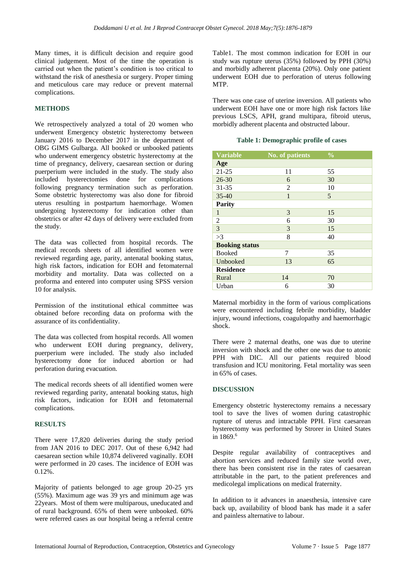Many times, it is difficult decision and require good clinical judgement. Most of the time the operation is carried out when the patient's condition is too critical to withstand the risk of anesthesia or surgery. Proper timing and meticulous care may reduce or prevent maternal complications.

## **METHODS**

We retrospectively analyzed a total of 20 women who underwent Emergency obstetric hysterectomy between January 2016 to December 2017 in the department of OBG GIMS Gulbarga. All booked or unbooked patients who underwent emergency obstetric hysterectomy at the time of pregnancy, delivery, caesarean section or during puerperium were included in the study. The study also included hysterectomies done for complications following pregnancy termination such as perforation. Some obstetric hysterectomy was also done for fibroid uterus resulting in postpartum haemorrhage. Women undergoing hysterectomy for indication other than obstetrics or after 42 days of delivery were excluded from the study.

The data was collected from hospital records. The medical records sheets of all identified women were reviewed regarding age, parity, antenatal booking status, high risk factors, indication for EOH and fetomaternal morbidity and mortality. Data was collected on a proforma and entered into computer using SPSS version 10 for analysis.

Permission of the institutional ethical committee was obtained before recording data on proforma with the assurance of its confidentiality.

The data was collected from hospital records. All women who underwent EOH during pregnancy, delivery, puerperium were included. The study also included hysterectomy done for induced abortion or had perforation during evacuation.

The medical records sheets of all identified women were reviewed regarding parity, antenatal booking status, high risk factors, indication for EOH and fetomaternal complications.

#### **RESULTS**

There were 17,820 deliveries during the study period from JAN 2016 to DEC 2017. Out of these 6,942 had caesarean section while 10,874 delivered vaginally. EOH were performed in 20 cases. The incidence of EOH was 0.12%.

Majority of patients belonged to age group 20-25 yrs (55%). Maximum age was 39 yrs and minimum age was 22years. Most of them were multiparous, uneducated and of rural background. 65% of them were unbooked. 60% were referred cases as our hospital being a referral centre Table1. The most common indication for EOH in our study was rupture uterus (35%) followed by PPH (30%) and morbidly adherent placenta (20%). Only one patient underwent EOH due to perforation of uterus following MTP.

There was one case of uterine inversion. All patients who underwent EOH have one or more high risk factors like previous LSCS, APH, grand multipara, fibroid uterus, morbidly adherent placenta and obstructed labour.

#### **Table 1: Demographic profile of cases**

| <b>Variable</b>       | <b>No. of patients</b> | $\frac{0}{0}$ |  |
|-----------------------|------------------------|---------------|--|
| Age                   |                        |               |  |
| $21 - 25$             | 11                     | 55            |  |
| $26 - 30$             | 6                      | 30            |  |
| $31 - 35$             | $\overline{2}$         | 10            |  |
| $35 - 40$             | $\mathbf{1}$           | 5             |  |
| <b>Parity</b>         |                        |               |  |
| $\mathbf{1}$          | 3                      | 15            |  |
| $\overline{2}$        | 6                      | 30            |  |
| $\overline{3}$        | 3                      | 15            |  |
| >3                    | 8                      | 40            |  |
| <b>Booking status</b> |                        |               |  |
| <b>Booked</b>         | 7                      | 35            |  |
| Unbooked              | 13                     | 65            |  |
| <b>Residence</b>      |                        |               |  |
| Rural                 | 14                     | 70            |  |
| Urban                 | 6                      | 30            |  |

Maternal morbidity in the form of various complications were encountered including febrile morbidity, bladder injury, wound infections, coagulopathy and haemorrhagic shock.

There were 2 maternal deaths, one was due to uterine inversion with shock and the other one was due to atonic PPH with DIC. All our patients required blood transfusion and ICU monitoring. Fetal mortality was seen in 65% of cases.

#### **DISCUSSION**

Emergency obstetric hysterectomy remains a necessary tool to save the lives of women during catastrophic rupture of uterus and intractable PPH. First caesarean hysterectomy was performed by Strorer in United States in 1869. 6

Despite regular availability of contraceptives and abortion services and reduced family size world over, there has been consistent rise in the rates of caesarean attributable in the part, to the patient preferences and medicolegal implications on medical fraternity.

In addition to it advances in anaesthesia, intensive care back up, availability of blood bank has made it a safer and painless alternative to labour.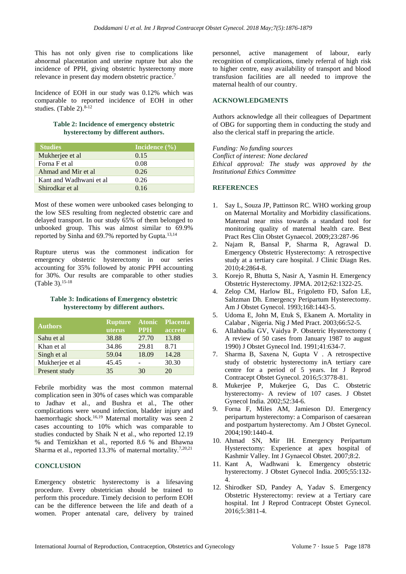This has not only given rise to complications like abnormal placentation and uterine rupture but also the incidence of PPH, giving obstetric hysterectomy more relevance in present day modern obstetric practice. 7

Incidence of EOH in our study was 0.12% which was comparable to reported incidence of EOH in other studies. (Table 2). 8-12

#### **Table 2: Incidence of emergency obstetric hysterectomy by different authors.**

| <b>Studies</b>          | Incidence $(\% )$ |
|-------------------------|-------------------|
| Mukherjee et al         | 0.15              |
| Forna F et al           | 0.08              |
| Ahmad and Mir et al     | 0.26              |
| Kant and Wadhwani et al | 0.26              |
| Shirodkar et al         | 0.16              |

Most of these women were unbooked cases belonging to the low SES resulting from neglected obstetric care and delayed transport. In our study 65% of them belonged to unbooked group. This was almost similar to 69.9% reported by Sinha and 69.7% reported by Gupta.<sup>13,14</sup>

Rupture uterus was the commonest indication for emergency obstetric hysterectomy in our series accounting for 35% followed by atonic PPH accounting for 30%. Our results are comparable to other studies (Table 3).15-18

#### **Table 3: Indications of Emergency obstetric hysterectomy by different authors.**

| <b>Authors</b>  | <b>Rupture</b><br>uterus | <b>Atonic</b><br><b>PPH</b> | <b>Placenta</b><br>accrete |
|-----------------|--------------------------|-----------------------------|----------------------------|
| Sahu et al      | 38.88                    | 27.70                       | 13.88                      |
| Khan et al      | 34.86                    | 29.81                       | 8.71                       |
| Singh et al     | 59.04                    | 18.09                       | 14.28                      |
| Mukherjee et al | 45.45                    |                             | 30.30                      |
| Present study   | 35                       | 30                          | 20                         |

Febrile morbidity was the most common maternal complication seen in 30% of cases which was comparable to Jadhav et al., and Bushra et al., The other complications were wound infection, bladder injury and haemorrhagic shock.<sup>16,19</sup> Maternal mortality was seen 2 cases accounting to 10% which was comparable to studies conducted by Shaik N et al., who reported 12.19 % and Temizkhan et al., reported 8.6 % and Bhawna Sharma et al., reported 13.3% of maternal mortality.7,20,21

# **CONCLUSION**

Emergency obstetric hysterectomy is a lifesaving procedure. Every obstetrician should be trained to perform this procedure. Timely decision to perform EOH can be the difference between the life and death of a women. Proper antenatal care, delivery by trained personnel, active management of labour, early recognition of complications, timely referral of high risk to higher centre, easy availability of transport and blood transfusion facilities are all needed to improve the maternal health of our country.

#### **ACKNOWLEDGMENTS**

Authors acknowledge all their colleagues of Department of OBG for supporting them in conducting the study and also the clerical staff in preparing the article.

*Funding: No funding sources Conflict of interest: None declared Ethical approval: The study was approved by the Institutional Ethics Committee*

#### **REFERENCES**

- 1. Say L, Souza JP, Pattinson RC. WHO working group on Maternal Mortality and Morbidity classifications. Maternal near miss towards a standard tool for monitoring quality of maternal health care. Best Pract Res Clin Obstet Gynaecol. 2009;23:287-96
- 2. Najam R, Bansal P, Sharma R, Agrawal D. Emergency Obstetric Hysterectomy: A retrospective study at a tertiary care hospital. J Clinic Diagn Res. 2010;4:2864-8.
- 3. Korejo R, Bhutta S, Nasir A, Yasmin H. Emergency Obstetric Hysterectomy. JPMA. 2012;62:1322-25.
- 4. Zelop CM, Harlow BL, Frigoletto FD, Safon LE, Saltzman Dh. Emergency Peripartum Hysterectomy. Am J Obstet Gynecol. 1993;168:1443-5.
- 5. Udoma E, John M, Etuk S, Ekanem A. Mortality in Calabar , Nigeria. Nig J Med Pract. 2003;66:52-5.
- 6. Allahbadia GV, Vaidya P. Obstetric Hysterectomy ( A review of 50 cases from January 1987 to august 1990) J Obstet Gynecol Ind. 1991;41:634-7.
- 7. Sharma B, Saxena N, Gupta V . A retrospective study of obstetric hysterectomy inA tertiary care centre for a period of 5 years. Int J Reprod Contracept Obstet Gynecol. 2016;5:3778-81.
- 8. Mukerjee P, Mukerjee G, Das C. Obstetric hysterectomy- A review of 107 cases. J Obstet Gynecol India. 2002;52:34-6.
- 9. Forna F, Miles AM, Jamieson DJ. Emergency peripartum hysterectomy: a Comparison of caesarean and postpartum hysterectomy. Am J Obstet Gynecol. 2004;190:1440-4.
- 10. Ahmad SN, Mir IH. Emergency Peripartum Hysterectomy: Experience at apex hospital of Kashmir Valley. Int J Gynaecol Obstet. 2007;8:2.
- 11. Kant A, Wadhwani k. Emergency obstetric hysterectomy. J Obstet Gynecol India. 2005;55:132- 4.
- 12. Shirodker SD, Pandey A, Yadav S. Emergency Obstetric Hysterectomy: review at a Tertiary care hospital. Int J Reprod Contracept Obstet Gynecol. 2016;5:3811-4.